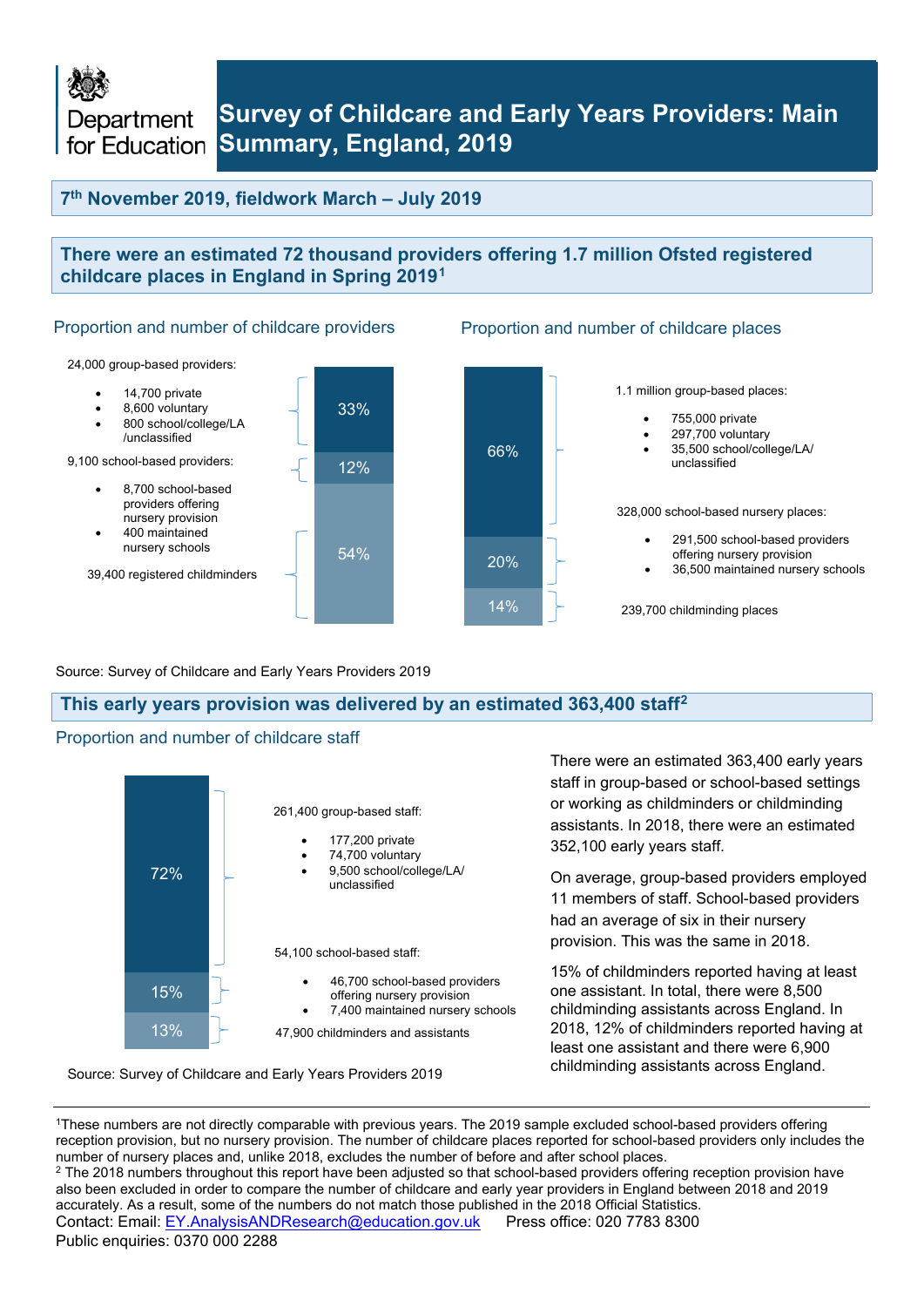Department

## **Survey of Childcare and Early Years Providers: Main for Education Summary, England, 2019**

## **7th November 2019, fieldwork March – July 2019**

### **There were an estimated 72 thousand providers offering 1.7 million Ofsted registered childcare places in England in Spring 2019[1](#page-0-0)**

Proportion and number of childcare providers Proportion and number of childcare places



#### Source: Survey of Childcare and Early Years Providers 2019

#### **This early years provision was delivered by an estimated 363,400 staff[2](#page-0-1)**

#### Proportion and number of childcare staff



Source: Survey of Childcare and Early Years Providers 2019

There were an estimated 363,400 early years staff in group-based or school-based settings or working as childminders or childminding assistants. In 2018, there were an estimated 352,100 early years staff.

On average, group-based providers employed 11 members of staff. School-based providers had an average of six in their nursery provision. This was the same in 2018.

15% of childminders reported having at least one assistant. In total, there were 8,500 childminding assistants across England. In 2018, 12% of childminders reported having at least one assistant and there were 6,900 childminding assistants across England.

<span id="page-0-1"></span><span id="page-0-0"></span>Contact: Email: EY.AnalysisANDResearch@education.gov.uk Press office: 020 7783 8300 Public enquiries: 0370 000 2288 1These numbers are not directly comparable with previous years. The 2019 sample excluded school-based providers offering reception provision, but no nursery provision. The number of childcare places reported for school-based providers only includes the number of nursery places and, unlike 2018, excludes the number of before and after school places. <sup>2</sup> The 2018 numbers throughout this report have been adjusted so that school-based providers offering reception provision have also been excluded in order to compare the number of childcare and early year providers in England between 2018 and 2019 accurately. As a result, some of the numbers do not match those published in the 2018 Official Statistics.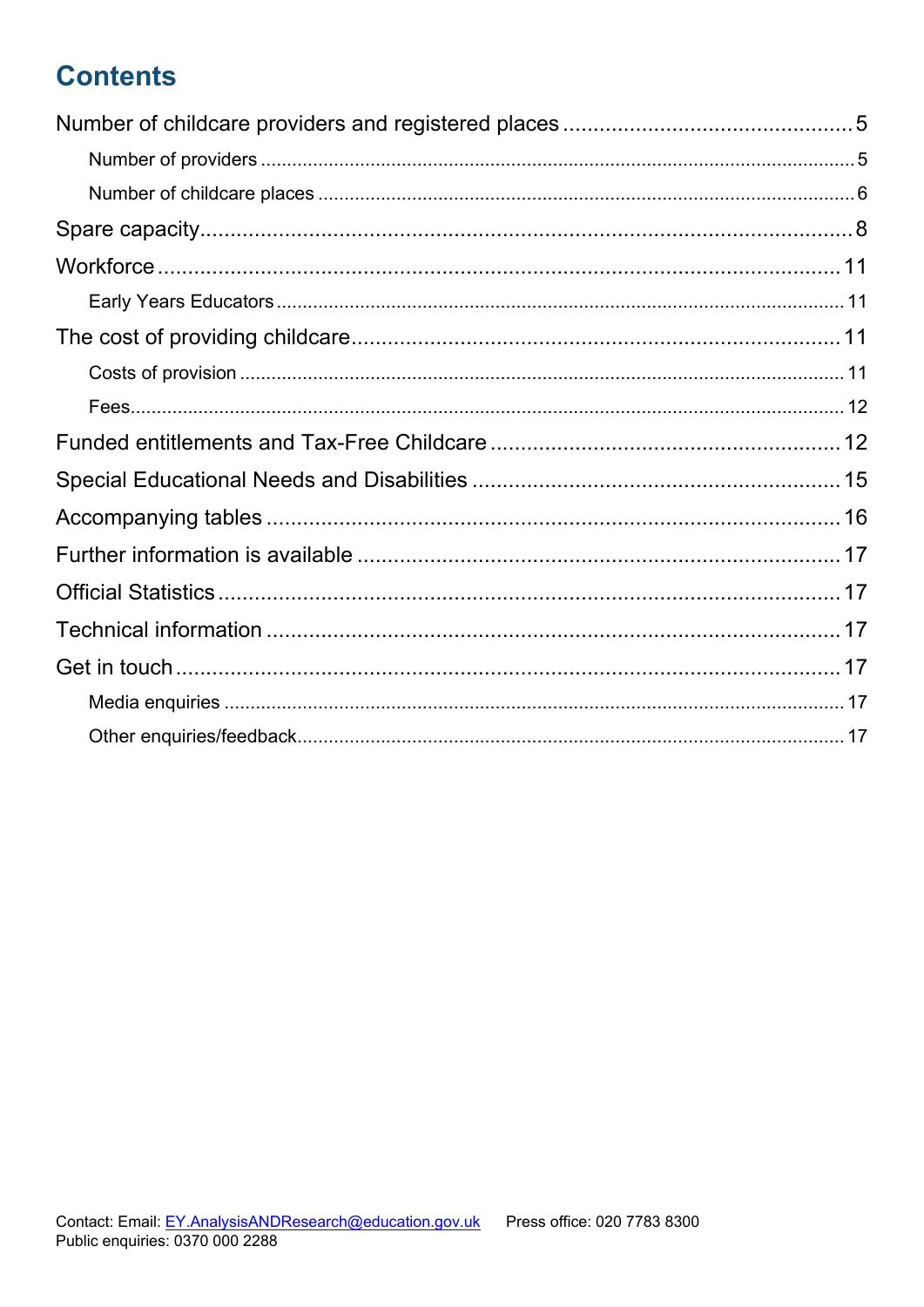# **Contents**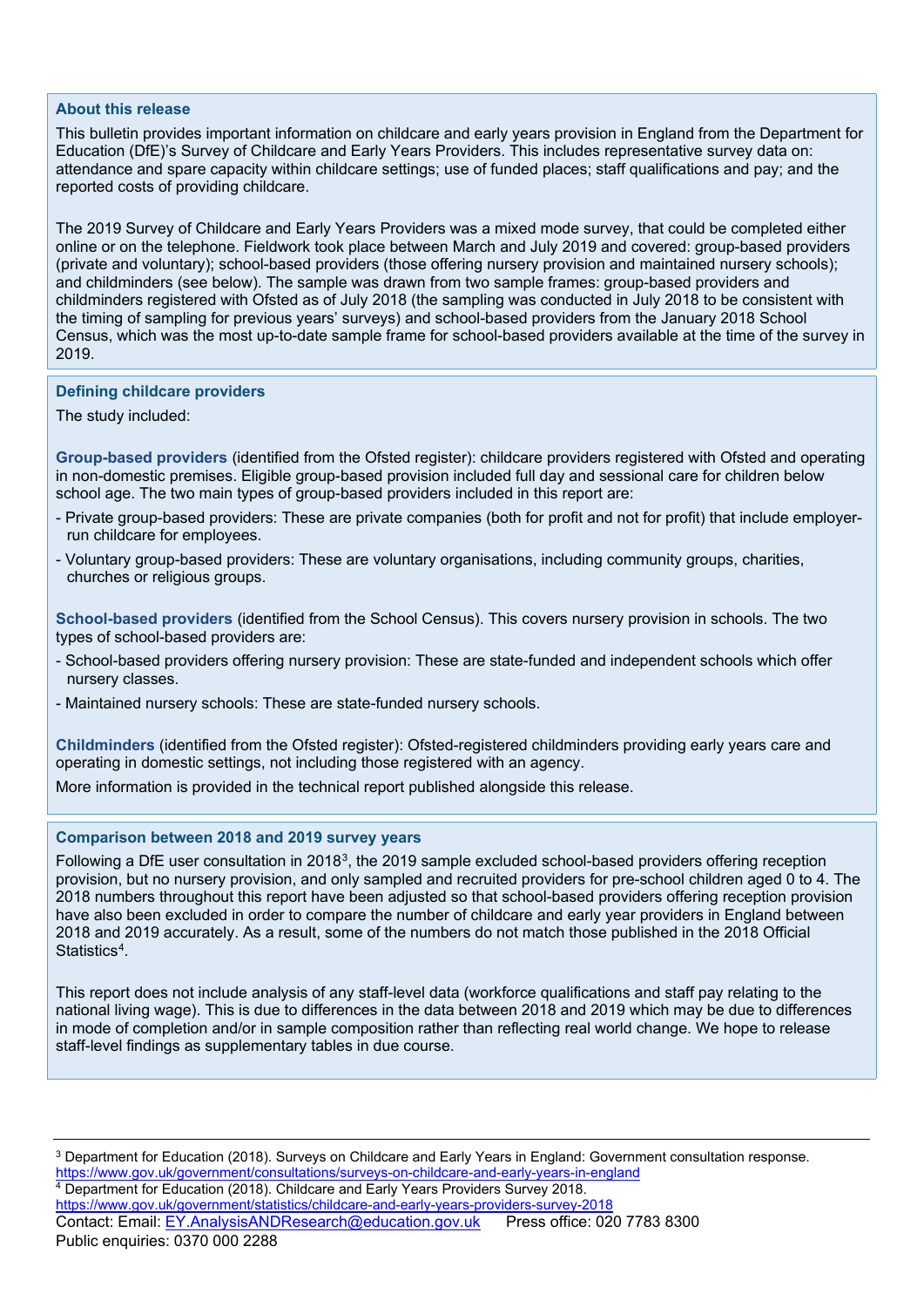#### **About this release**

This bulletin provides important information on childcare and early years provision in England from the Department for Education (DfE)'s Survey of Childcare and Early Years Providers. This includes representative survey data on: attendance and spare capacity within childcare settings; use of funded places; staff qualifications and pay; and the reported costs of providing childcare.

The 2019 Survey of Childcare and Early Years Providers was a mixed mode survey, that could be completed either online or on the telephone. Fieldwork took place between March and July 2019 and covered: group-based providers (private and voluntary); school-based providers (those offering nursery provision and maintained nursery schools); and childminders (see below). The sample was drawn from two sample frames: group-based providers and childminders registered with Ofsted as of July 2018 (the sampling was conducted in July 2018 to be consistent with the timing of sampling for previous years' surveys) and school-based providers from the January 2018 School Census, which was the most up-to-date sample frame for school-based providers available at the time of the survey in 2019.

#### **Defining childcare providers**

The study included:

**Group-based providers** (identified from the Ofsted register): childcare providers registered with Ofsted and operating in non-domestic premises. Eligible group-based provision included full day and sessional care for children below school age. The two main types of group-based providers included in this report are:

- Private group-based providers: These are private companies (both for profit and not for profit) that include employerrun childcare for employees.
- Voluntary group-based providers: These are voluntary organisations, including community groups, charities, churches or religious groups.

**School-based providers** (identified from the School Census). This covers nursery provision in schools. The two types of school-based providers are:

- School-based providers offering nursery provision: These are state-funded and independent schools which offer nursery classes.
- Maintained nursery schools: These are state-funded nursery schools.

**Childminders** (identified from the Ofsted register): Ofsted-registered childminders providing early years care and operating in domestic settings, not including those registered with an agency.

More information is provided in the technical report published alongside this release.

#### **Comparison between 2018 and 2019 survey years**

Following a DfE user consultation in 201[83](#page-2-0), the 2019 sample excluded school-based providers offering reception provision, but no nursery provision, and only sampled and recruited providers for pre-school children aged 0 to 4. The 2018 numbers throughout this report have been adjusted so that school-based providers offering reception provision have also been excluded in order to compare the number of childcare and early year providers in England between 2018 and 2019 accurately. As a result, some of the numbers do not match those published in the 2018 Official Statistics<sup>4</sup>.

This report does not include analysis of any staff-level data (workforce qualifications and staff pay relating to the national living wage). This is due to differences in the data between 2018 and 2019 which may be due to differences in mode of completion and/or in sample composition rather than reflecting real world change. We hope to release staff-level findings as supplementary tables in due course.

<span id="page-2-1"></span><span id="page-2-0"></span>Contact: Email: EY.AnalysisANDResearch@education.gov.uk Press office: 020 7783 8300 Public enquiries: 0370 000 2288 <sup>3</sup> Department for Education (2018). Surveys on Childcare and Early Years in England: Government consultation response. <https://www.gov.uk/government/consultations/surveys-on-childcare-and-early-years-in-england>4 Department for Education (2018). Childcare and Early Years Providers Survey 2018. <https://www.gov.uk/government/statistics/childcare-and-early-years-providers-survey-2018>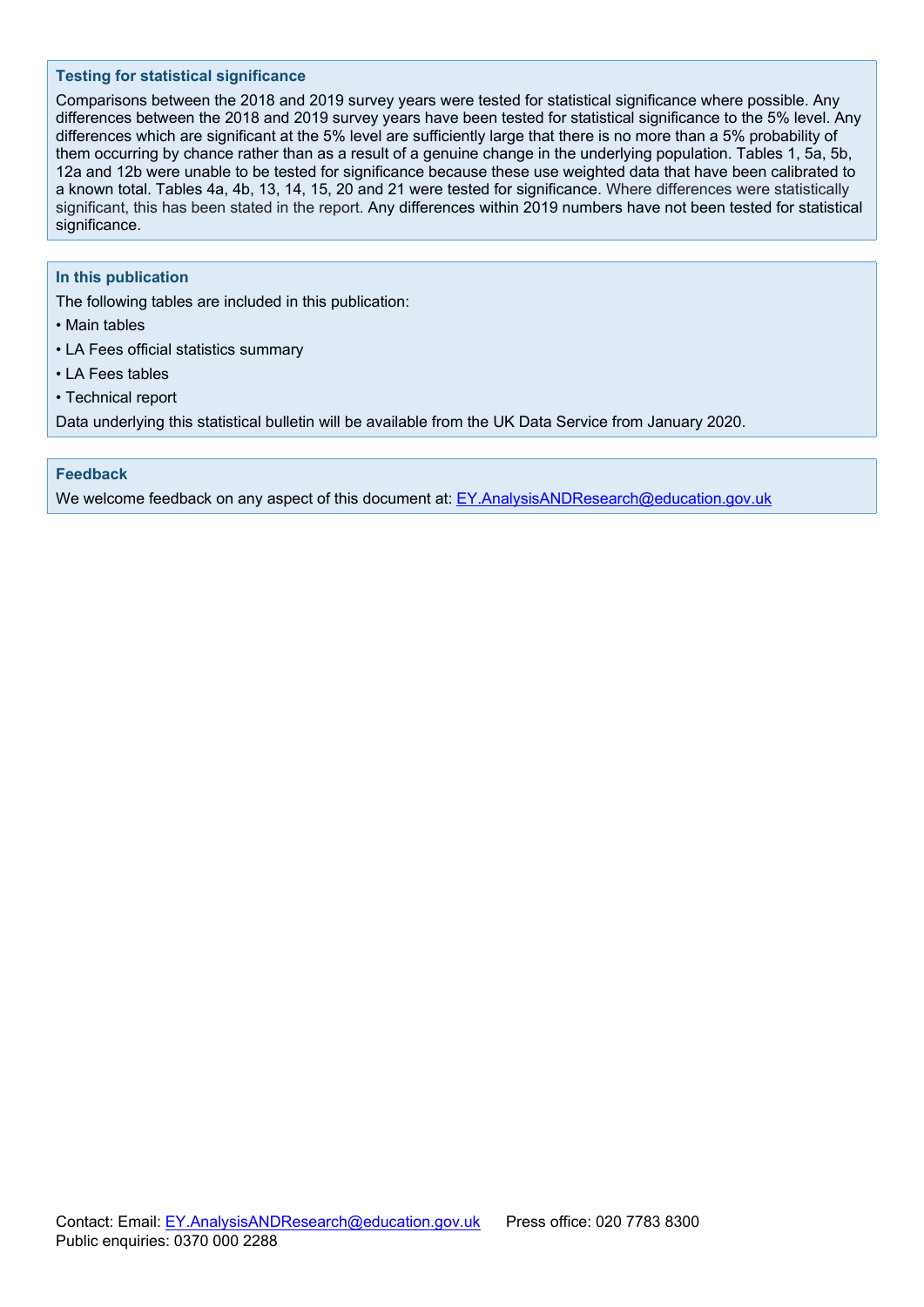#### **Testing for statistical significance**

Comparisons between the 2018 and 2019 survey years were tested for statistical significance where possible. Any differences between the 2018 and 2019 survey years have been tested for statistical significance to the 5% level. Any differences which are significant at the 5% level are sufficiently large that there is no more than a 5% probability of them occurring by chance rather than as a result of a genuine change in the underlying population. Tables 1, 5a, 5b, 12a and 12b were unable to be tested for significance because these use weighted data that have been calibrated to a known total. Tables 4a, 4b, 13, 14, 15, 20 and 21 were tested for significance. Where differences were statistically significant, this has been stated in the report. Any differences within 2019 numbers have not been tested for statistical significance.

#### **In this publication**

The following tables are included in this publication:

- Main tables
- LA Fees official statistics summary
- LA Fees tables
- Technical report

Data underlying this statistical bulletin will be available from the UK Data Service from January 2020.

#### **Feedback**

We welcome feedback on any aspect of this document at: EY.AnalysisANDResearch@education.gov.uk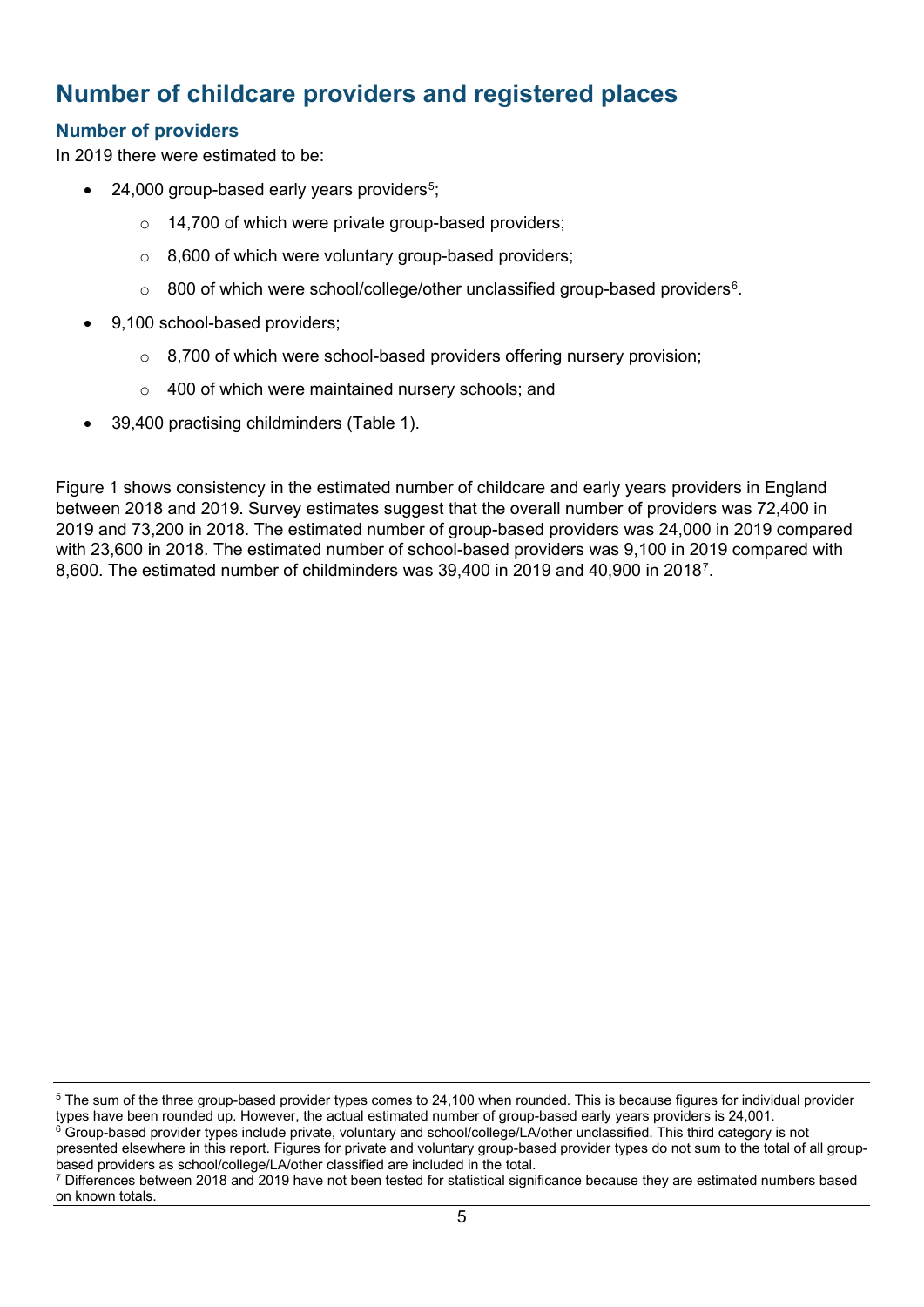## <span id="page-4-0"></span>**Number of childcare providers and registered places**

## <span id="page-4-1"></span>**Number of providers**

In 2019 there were estimated to be:

- $\bullet$  24,000 group-based early years providers<sup>[5](#page-4-2)</sup>;
	- o 14,700 of which were private group-based providers;
	- $\circ$  8,600 of which were voluntary group-based providers;
	- $\circ$  800 of which were school/college/other unclassified group-based providers<sup>6</sup>.
- 9,100 school-based providers;
	- $\circ$  8,700 of which were school-based providers offering nursery provision;
	- o 400 of which were maintained nursery schools; and
	- 39,400 practising childminders (Table 1).

Figure 1 shows consistency in the estimated number of childcare and early years providers in England between 2018 and 2019. Survey estimates suggest that the overall number of providers was 72,400 in 2019 and 73,200 in 2018. The estimated number of group-based providers was 24,000 in 2019 compared with 23,600 in 2018. The estimated number of school-based providers was 9,100 in 2019 compared with 8,600. The estimated number of childminders was 39,400 in 2019 and 40,900 in 2018[7.](#page-4-4)

<span id="page-4-2"></span><sup>&</sup>lt;sup>5</sup> The sum of the three group-based provider types comes to 24,100 when rounded. This is because figures for individual provider types have been rounded up. However, the actual estimated number of group-based early years providers is 24,001.

<span id="page-4-3"></span> $6$  Group-based provider types include private, voluntary and school/college/LA/other unclassified. This third category is not presented elsewhere in this report. Figures for private and voluntary group-based provider types do not sum to the total of all group-<br>based providers as school/college/LA/other classified are included in the total.

<span id="page-4-4"></span> $\frac{7}{2}$  Differences between 2018 and 2019 have not been tested for statistical significance because they are estimated numbers based on known totals.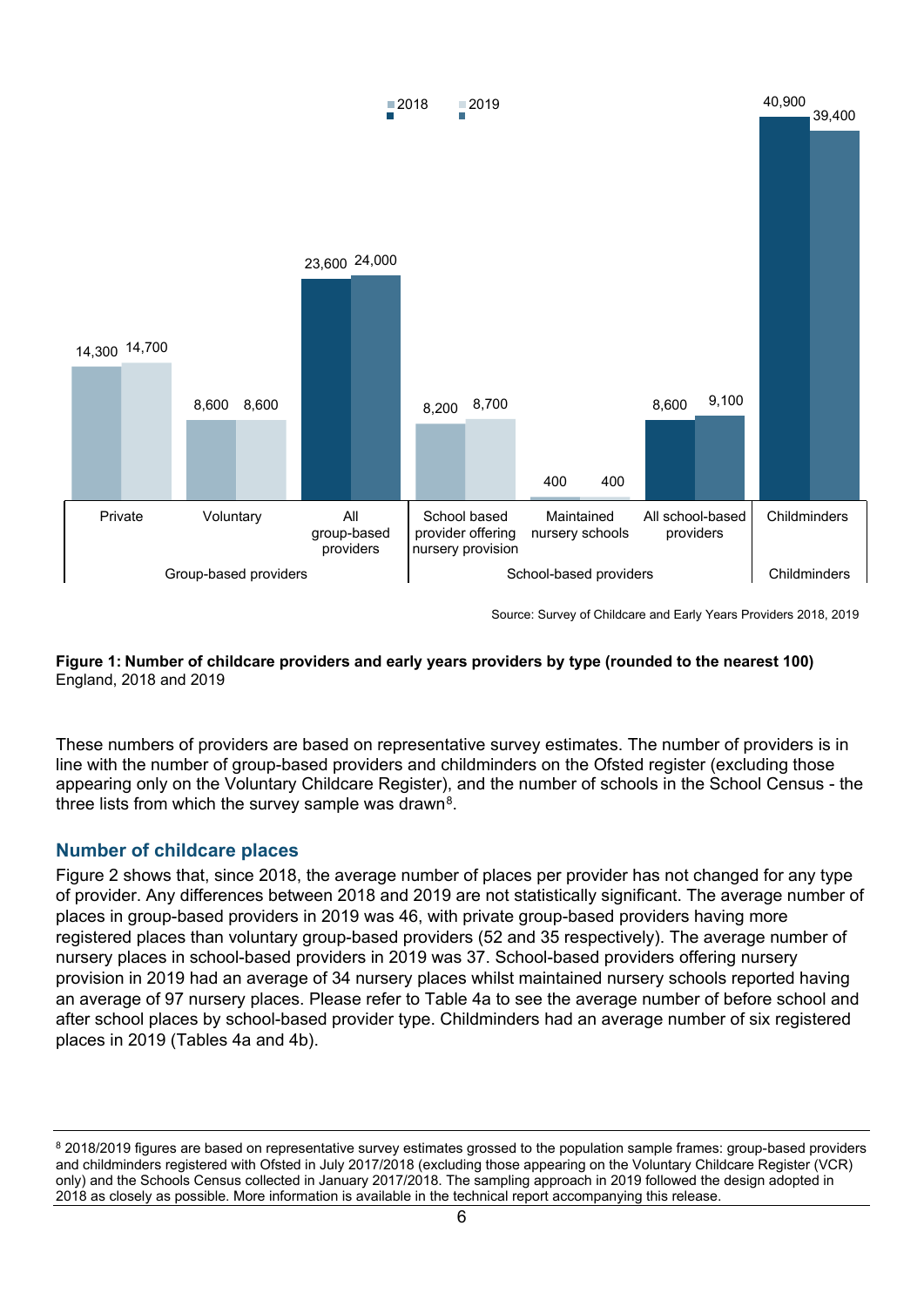

Source: Survey of Childcare and Early Years Providers 2018, 2019

### **Figure 1: Number of childcare providers and early years providers by type (rounded to the nearest 100)** England, 2018 and 2019

These numbers of providers are based on representative survey estimates. The number of providers is in line with the number of group-based providers and childminders on the Ofsted register (excluding those appearing only on the Voluntary Childcare Register), and the number of schools in the School Census - the three lists from which the survey sample was drawn<sup>8</sup>.

### <span id="page-5-0"></span>**Number of childcare places**

Figure 2 shows that, since 2018, the average number of places per provider has not changed for any type of provider. Any differences between 2018 and 2019 are not statistically significant. The average number of places in group-based providers in 2019 was 46, with private group-based providers having more registered places than voluntary group-based providers (52 and 35 respectively). The average number of nursery places in school-based providers in 2019 was 37. School-based providers offering nursery provision in 2019 had an average of 34 nursery places whilst maintained nursery schools reported having an average of 97 nursery places. Please refer to Table 4a to see the average number of before school and after school places by school-based provider type. Childminders had an average number of six registered places in 2019 (Tables 4a and 4b).

<span id="page-5-1"></span><sup>&</sup>lt;sup>8</sup> 2018/2019 figures are based on representative survey estimates grossed to the population sample frames: group-based providers and childminders registered with Ofsted in July 2017/2018 (excluding those appearing on the Voluntary Childcare Register (VCR) only) and the Schools Census collected in January 2017/2018. The sampling approach in 2019 followed the design adopted in 2018 as closely as possible. More information is available in the technical report accompanying this release.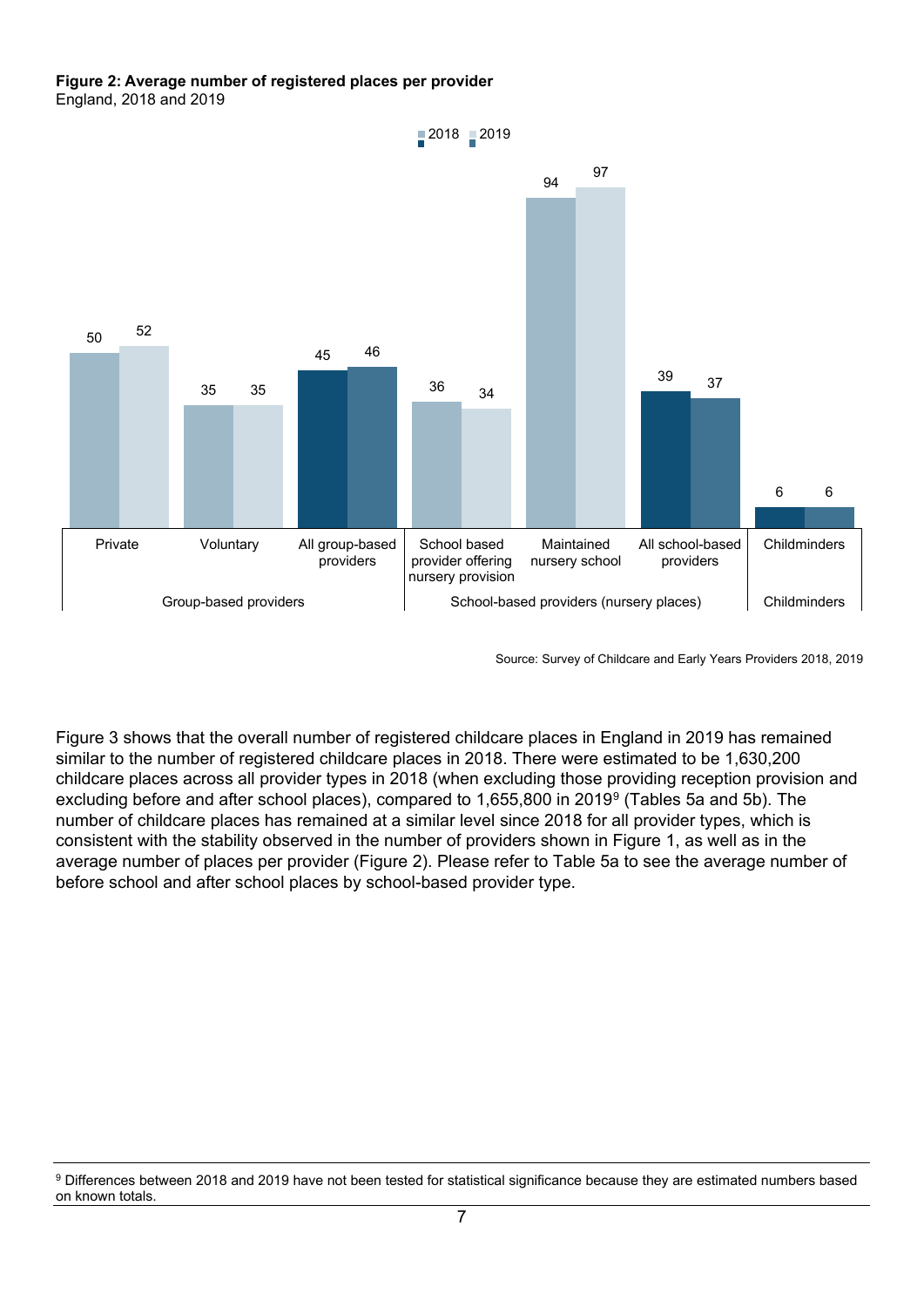#### **Figure 2: Average number of registered places per provider** England, 2018 and 2019



Source: Survey of Childcare and Early Years Providers 2018, 2019

Figure 3 shows that the overall number of registered childcare places in England in 2019 has remained similar to the number of registered childcare places in 2018. There were estimated to be 1,630,200 childcare places across all provider types in 2018 (when excluding those providing reception provision and excluding before and after school places), compared to 1,655,800 in 2019[9](#page-6-0) (Tables 5a and 5b). The number of childcare places has remained at a similar level since 2018 for all provider types, which is consistent with the stability observed in the number of providers shown in Figure 1, as well as in the average number of places per provider (Figure 2). Please refer to Table 5a to see the average number of before school and after school places by school-based provider type.

<span id="page-6-0"></span><sup>9</sup> Differences between 2018 and 2019 have not been tested for statistical significance because they are estimated numbers based on known totals.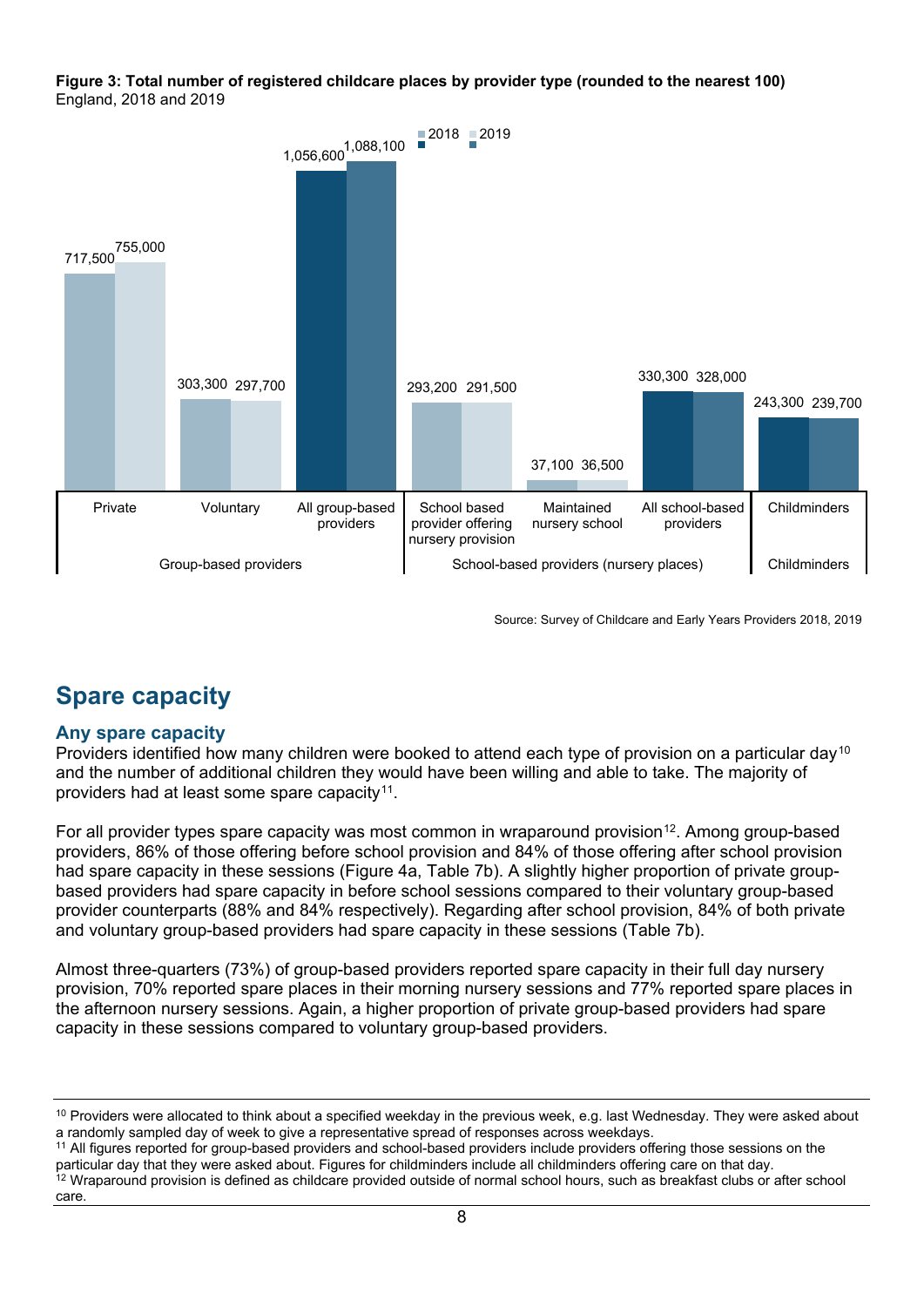#### **Figure 3: Total number of registered childcare places by provider type (rounded to the nearest 100)** England, 2018 and 2019



Source: Survey of Childcare and Early Years Providers 2018, 2019

# <span id="page-7-0"></span>**Spare capacity**

## **Any spare capacity**

Providers identified how many children were booked to attend each type of provision on a particular day<sup>[10](#page-7-1)</sup> and the number of additional children they would have been willing and able to take. The majority of providers had at least some spare capacity<sup>[11](#page-7-2)</sup>.

For all provider types spare capacity was most common in wraparound provision<sup>12</sup>. Among group-based providers, 86% of those offering before school provision and 84% of those offering after school provision had spare capacity in these sessions (Figure 4a, Table 7b). A slightly higher proportion of private groupbased providers had spare capacity in before school sessions compared to their voluntary group-based provider counterparts (88% and 84% respectively). Regarding after school provision, 84% of both private and voluntary group-based providers had spare capacity in these sessions (Table 7b).

Almost three-quarters (73%) of group-based providers reported spare capacity in their full day nursery provision, 70% reported spare places in their morning nursery sessions and 77% reported spare places in the afternoon nursery sessions. Again, a higher proportion of private group-based providers had spare capacity in these sessions compared to voluntary group-based providers.

<span id="page-7-1"></span><sup>&</sup>lt;sup>10</sup> Providers were allocated to think about a specified weekday in the previous week, e.g. last Wednesday. They were asked about a randomly sampled day of week to give a representative spread of responses across weekdays.

<span id="page-7-3"></span><span id="page-7-2"></span><sup>&</sup>lt;sup>11</sup> All figures reported for group-based providers and school-based providers include providers offering those sessions on the particular day that they were asked about. Figures for childminders include all childminders offering care on that day. <sup>12</sup> Wraparound provision is defined as childcare provided outside of normal school hours, such as breakfast clubs or after school care.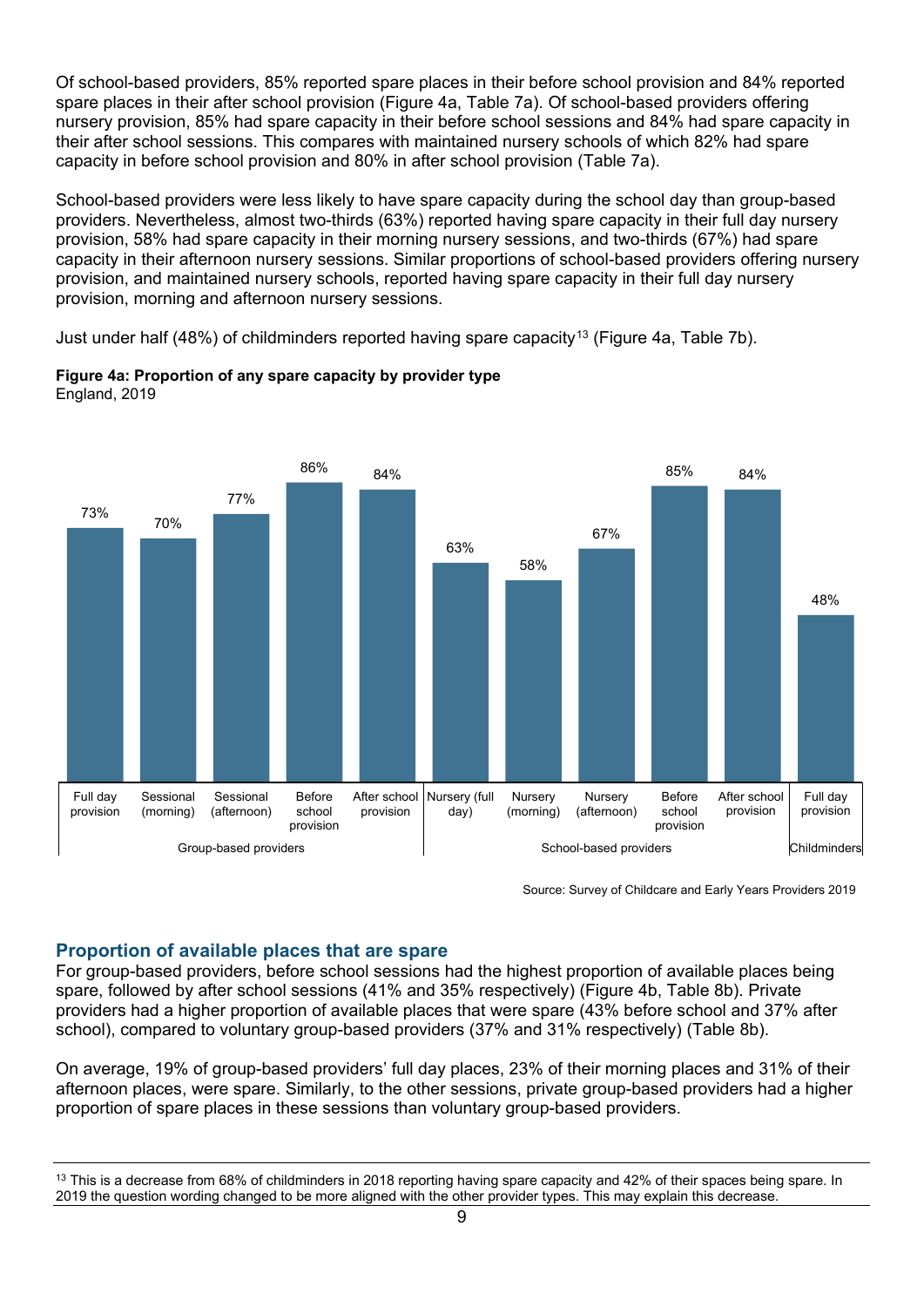Of school-based providers, 85% reported spare places in their before school provision and 84% reported spare places in their after school provision (Figure 4a, Table 7a). Of school-based providers offering nursery provision, 85% had spare capacity in their before school sessions and 84% had spare capacity in their after school sessions. This compares with maintained nursery schools of which 82% had spare capacity in before school provision and 80% in after school provision (Table 7a).

School-based providers were less likely to have spare capacity during the school day than group-based providers. Nevertheless, almost two-thirds (63%) reported having spare capacity in their full day nursery provision, 58% had spare capacity in their morning nursery sessions, and two-thirds (67%) had spare capacity in their afternoon nursery sessions. Similar proportions of school-based providers offering nursery provision, and maintained nursery schools, reported having spare capacity in their full day nursery provision, morning and afternoon nursery sessions.

Just under half (48%) of childminders reported having spare capacity<sup>[13](#page-8-0)</sup> (Figure 4a, Table 7b).



**Figure 4a: Proportion of any spare capacity by provider type** England, 2019

Source: Survey of Childcare and Early Years Providers 2019

## **Proportion of available places that are spare**

For group-based providers, before school sessions had the highest proportion of available places being spare, followed by after school sessions (41% and 35% respectively) (Figure 4b, Table 8b). Private providers had a higher proportion of available places that were spare (43% before school and 37% after school), compared to voluntary group-based providers (37% and 31% respectively) (Table 8b).

On average, 19% of group-based providers' full day places, 23% of their morning places and 31% of their afternoon places, were spare. Similarly, to the other sessions, private group-based providers had a higher proportion of spare places in these sessions than voluntary group-based providers.

<span id="page-8-0"></span><sup>&</sup>lt;sup>13</sup> This is a decrease from 68% of childminders in 2018 reporting having spare capacity and 42% of their spaces being spare. In 2019 the question wording changed to be more aligned with the other provider types. This may explain this decrease.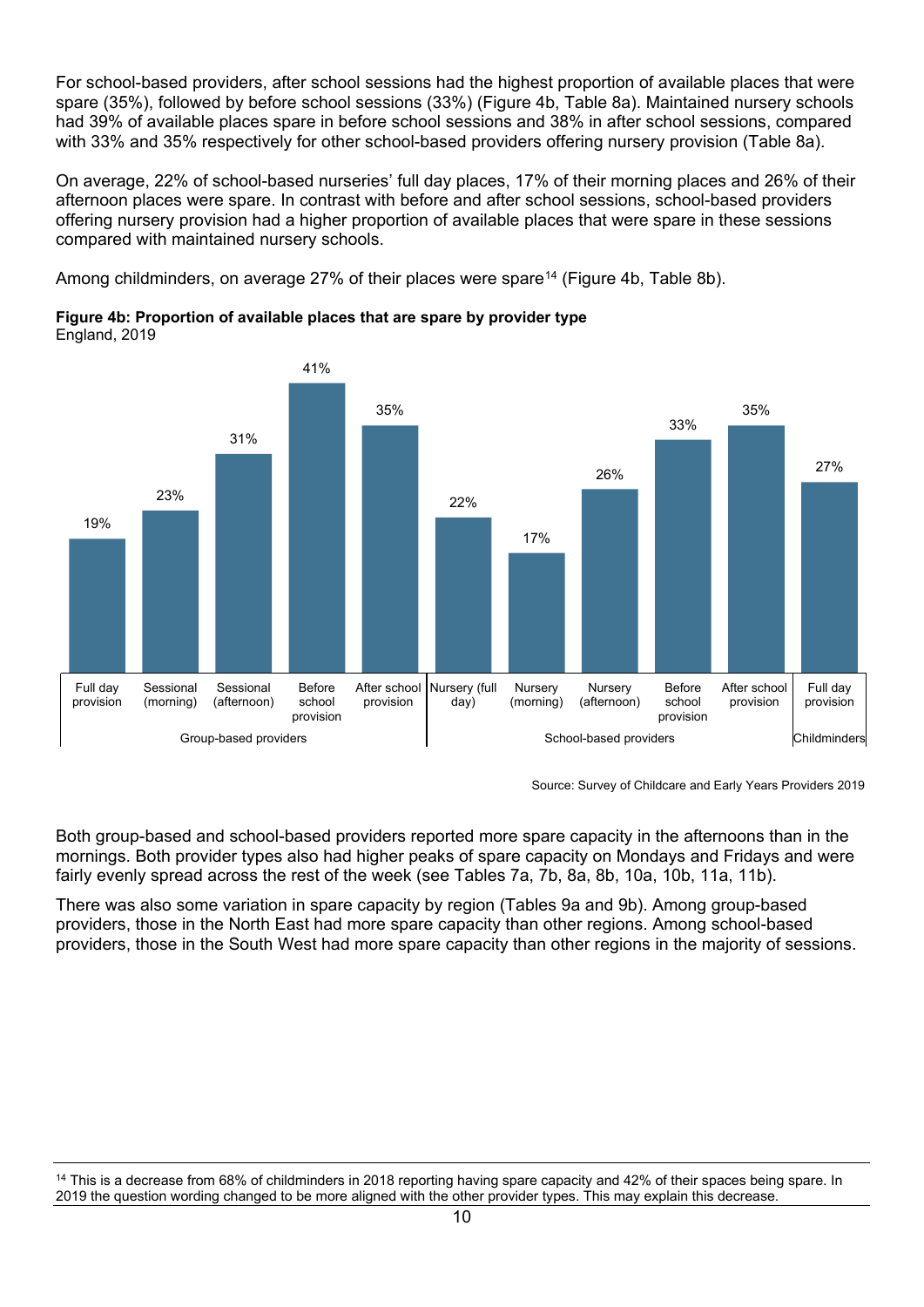For school-based providers, after school sessions had the highest proportion of available places that were spare (35%), followed by before school sessions (33%) (Figure 4b, Table 8a). Maintained nursery schools had 39% of available places spare in before school sessions and 38% in after school sessions, compared with 33% and 35% respectively for other school-based providers offering nursery provision (Table 8a).

On average, 22% of school-based nurseries' full day places, 17% of their morning places and 26% of their afternoon places were spare. In contrast with before and after school sessions, school-based providers offering nursery provision had a higher proportion of available places that were spare in these sessions compared with maintained nursery schools.

Among childminders, on average 27% of their places were spare<sup>[14](#page-9-0)</sup> (Figure 4b, Table 8b).

**Figure 4b: Proportion of available places that are spare by provider type** England, 2019



Source: Survey of Childcare and Early Years Providers 2019

Both group-based and school-based providers reported more spare capacity in the afternoons than in the mornings. Both provider types also had higher peaks of spare capacity on Mondays and Fridays and were fairly evenly spread across the rest of the week (see Tables 7a, 7b, 8a, 8b, 10a, 10b, 11a, 11b).

There was also some variation in spare capacity by region (Tables 9a and 9b). Among group-based providers, those in the North East had more spare capacity than other regions. Among school-based providers, those in the South West had more spare capacity than other regions in the majority of sessions.

<span id="page-9-0"></span><sup>&</sup>lt;sup>14</sup> This is a decrease from 68% of childminders in 2018 reporting having spare capacity and 42% of their spaces being spare. In 2019 the question wording changed to be more aligned with the other provider types. This may explain this decrease.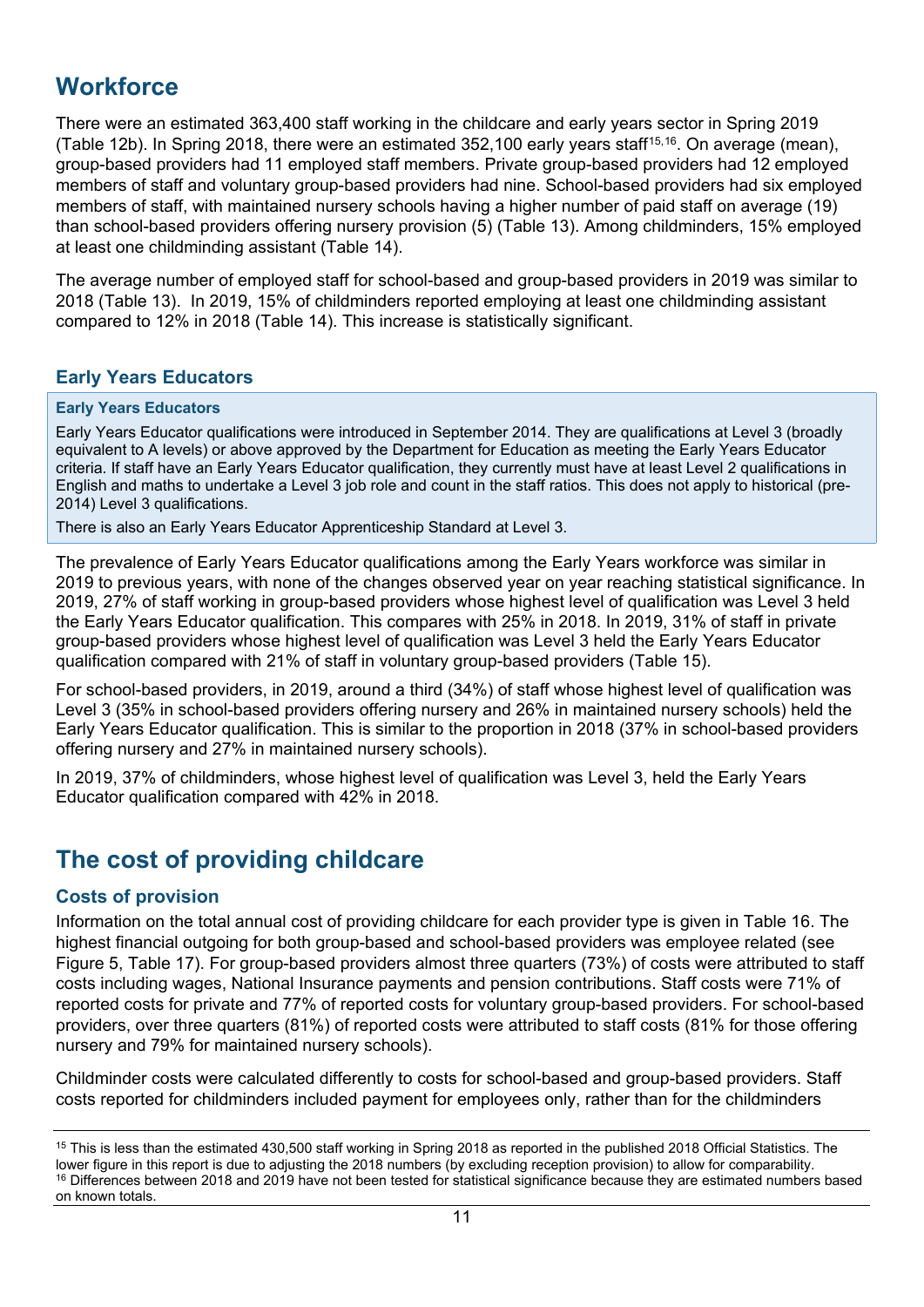## <span id="page-10-0"></span>**Workforce**

There were an estimated 363,400 staff working in the childcare and early years sector in Spring 2019 (Table 12b). In Spring 2018, there were an estimated 352,100 early years staff<sup>[15,](#page-10-4)[16](#page-10-5)</sup>. On average (mean), group-based providers had 11 employed staff members. Private group-based providers had 12 employed members of staff and voluntary group-based providers had nine. School-based providers had six employed members of staff, with maintained nursery schools having a higher number of paid staff on average (19) than school-based providers offering nursery provision (5) (Table 13). Among childminders, 15% employed at least one childminding assistant (Table 14).

The average number of employed staff for school-based and group-based providers in 2019 was similar to 2018 (Table 13). In 2019, 15% of childminders reported employing at least one childminding assistant compared to 12% in 2018 (Table 14). This increase is statistically significant.

### <span id="page-10-1"></span>**Early Years Educators**

#### **Early Years Educators**

Early Years Educator qualifications were introduced in September 2014. They are qualifications at Level 3 (broadly equivalent to A levels) or above approved by the Department for Education as meeting the Early Years Educator criteria. If staff have an Early Years Educator qualification, they currently must have at least Level 2 qualifications in English and maths to undertake a Level 3 job role and count in the staff ratios. This does not apply to historical (pre-2014) Level 3 qualifications.

There is also an Early Years Educator Apprenticeship Standard at Level 3.

The prevalence of Early Years Educator qualifications among the Early Years workforce was similar in 2019 to previous years, with none of the changes observed year on year reaching statistical significance. In 2019, 27% of staff working in group-based providers whose highest level of qualification was Level 3 held the Early Years Educator qualification. This compares with 25% in 2018. In 2019, 31% of staff in private group-based providers whose highest level of qualification was Level 3 held the Early Years Educator qualification compared with 21% of staff in voluntary group-based providers (Table 15).

For school-based providers, in 2019, around a third (34%) of staff whose highest level of qualification was Level 3 (35% in school-based providers offering nursery and 26% in maintained nursery schools) held the Early Years Educator qualification. This is similar to the proportion in 2018 (37% in school-based providers offering nursery and 27% in maintained nursery schools).

In 2019, 37% of childminders, whose highest level of qualification was Level 3, held the Early Years Educator qualification compared with 42% in 2018.

## <span id="page-10-2"></span>**The cost of providing childcare**

## <span id="page-10-3"></span>**Costs of provision**

Information on the total annual cost of providing childcare for each provider type is given in Table 16. The highest financial outgoing for both group-based and school-based providers was employee related (see Figure 5, Table 17). For group-based providers almost three quarters (73%) of costs were attributed to staff costs including wages, National Insurance payments and pension contributions. Staff costs were 71% of reported costs for private and 77% of reported costs for voluntary group-based providers. For school-based providers, over three quarters (81%) of reported costs were attributed to staff costs (81% for those offering nursery and 79% for maintained nursery schools).

Childminder costs were calculated differently to costs for school-based and group-based providers. Staff costs reported for childminders included payment for employees only, rather than for the childminders

<span id="page-10-5"></span><span id="page-10-4"></span><sup>&</sup>lt;sup>15</sup> This is less than the estimated 430,500 staff working in Spring 2018 as reported in the published 2018 Official Statistics. The lower figure in this report is due to adjusting the 2018 numbers (by excluding reception provision) to allow for comparability. <sup>16</sup> Differences between 2018 and 2019 have not been tested for statistical significance because they are estimated numbers based on known totals.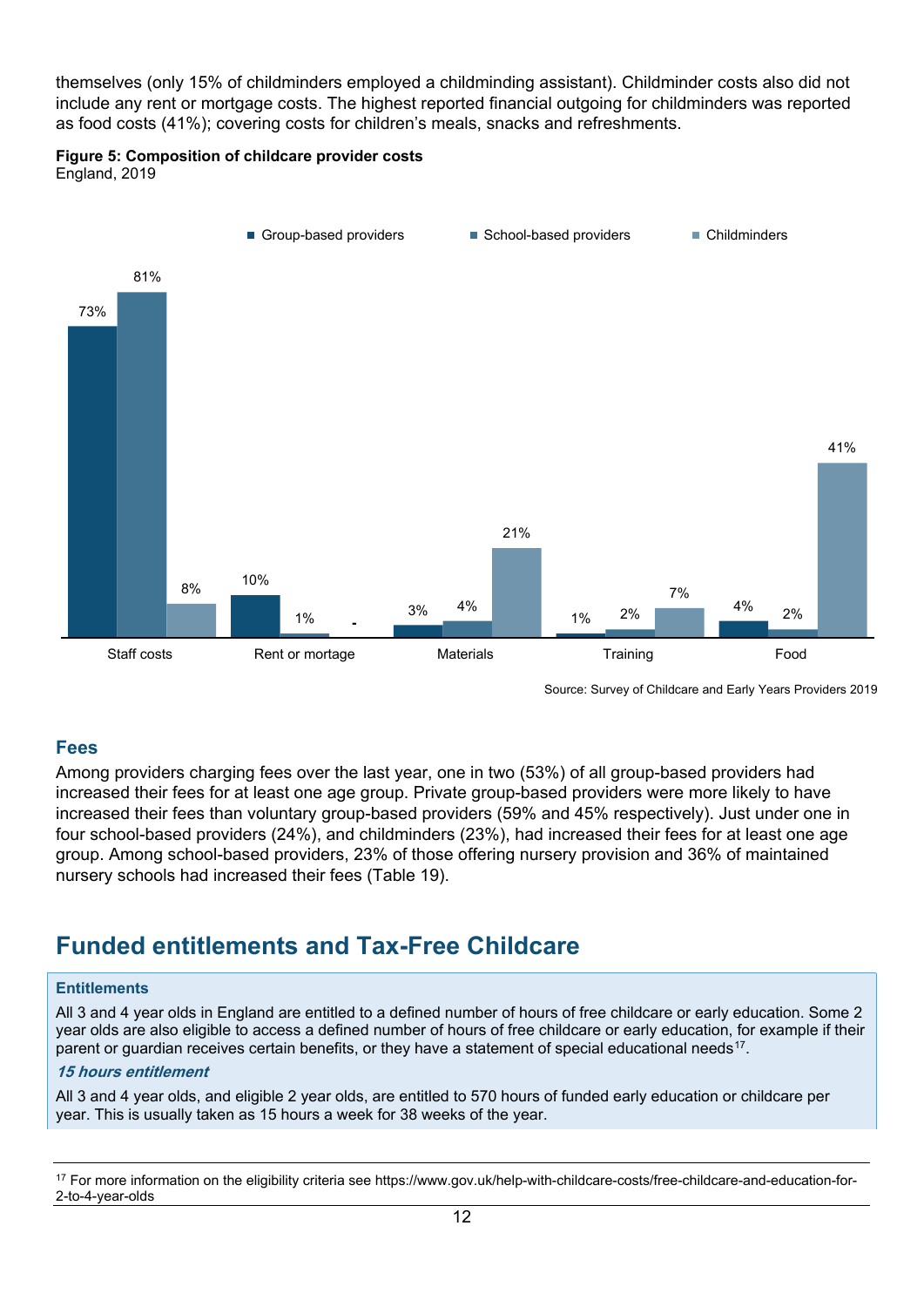themselves (only 15% of childminders employed a childminding assistant). Childminder costs also did not include any rent or mortgage costs. The highest reported financial outgoing for childminders was reported as food costs (41%); covering costs for children's meals, snacks and refreshments.

### **Figure 5: Composition of childcare provider costs**

England, 2019



Source: Survey of Childcare and Early Years Providers 2019

### <span id="page-11-0"></span>**Fees**

Among providers charging fees over the last year, one in two (53%) of all group-based providers had increased their fees for at least one age group. Private group-based providers were more likely to have increased their fees than voluntary group-based providers (59% and 45% respectively). Just under one in four school-based providers (24%), and childminders (23%), had increased their fees for at least one age group. Among school-based providers, 23% of those offering nursery provision and 36% of maintained nursery schools had increased their fees (Table 19).

## <span id="page-11-1"></span>**Funded entitlements and Tax-Free Childcare**

#### **Entitlements**

All 3 and 4 year olds in England are entitled to a defined number of hours of free childcare or early education. Some 2 year olds are also eligible to access a defined number of hours of free childcare or early education, for example if their parent or guardian receives certain benefits, or they have a statement of special educational needs<sup>17</sup>.

#### **15 hours entitlement**

All 3 and 4 year olds, and eligible 2 year olds, are entitled to 570 hours of funded early education or childcare per year. This is usually taken as 15 hours a week for 38 weeks of the year.

<span id="page-11-2"></span><sup>&</sup>lt;sup>17</sup> For more information on the eligibility criteria see https://www.gov.uk/help-with-childcare-costs/free-childcare-and-education-for-2-to-4-year-olds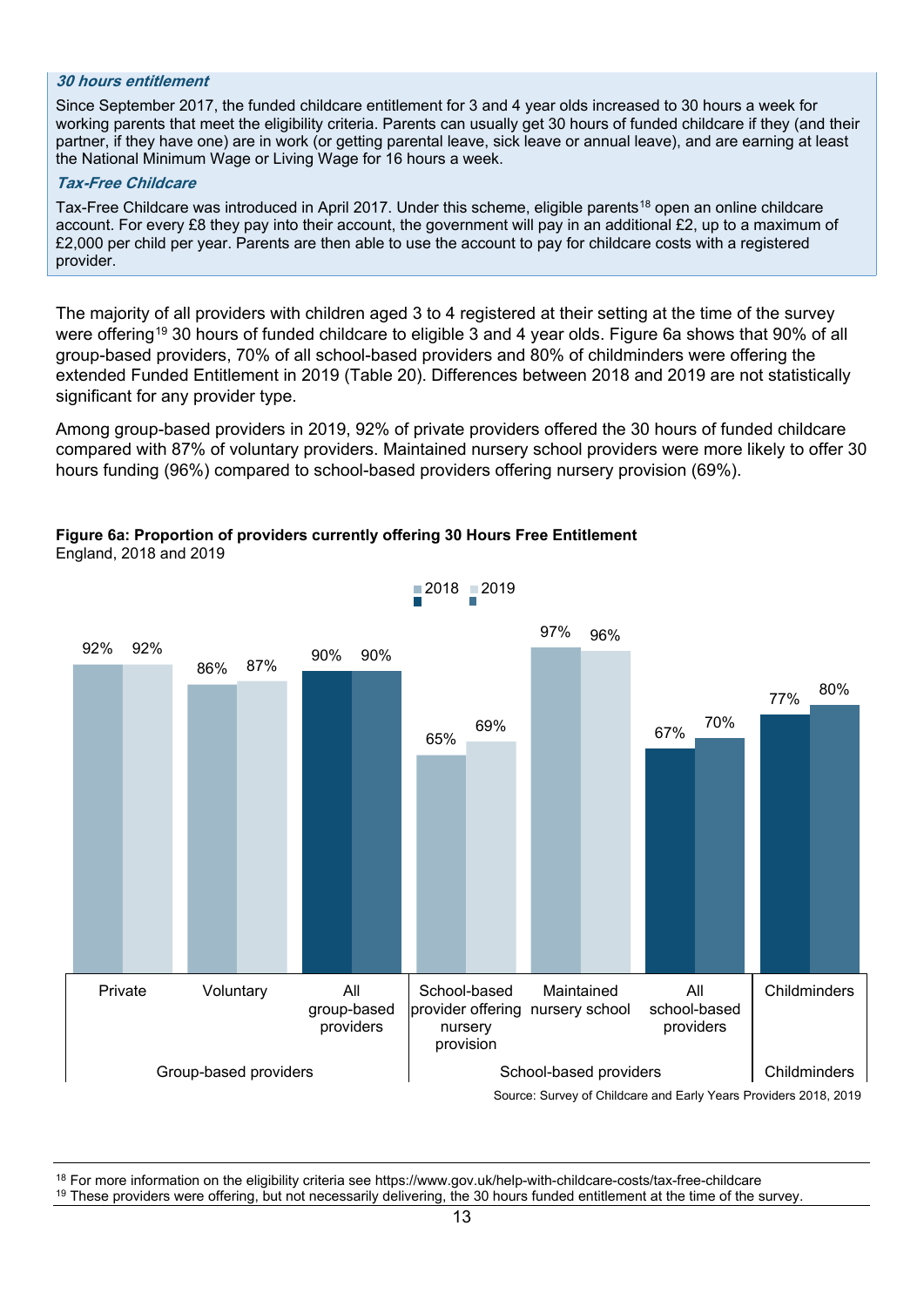#### **30 hours entitlement**

Since September 2017, the funded childcare entitlement for 3 and 4 year olds increased to 30 hours a week for working parents that meet the eligibility criteria. Parents can usually get 30 hours of funded childcare if they (and their partner, if they have one) are in work (or getting parental leave, sick leave or annual leave), and are earning at least the National Minimum Wage or Living Wage for 16 hours a week.

#### **Tax-Free Childcare**

Tax-Free Childcare was introduced in April 2017. Under this scheme, eligible parents<sup>[18](#page-12-0)</sup> open an online childcare account. For every £8 they pay into their account, the government will pay in an additional £2, up to a maximum of £2,000 per child per year. Parents are then able to use the account to pay for childcare costs with a registered provider.

The majority of all providers with children aged 3 to 4 registered at their setting at the time of the survey were offering<sup>[19](#page-12-1)</sup> 30 hours of funded childcare to eligible 3 and 4 year olds. Figure 6a shows that 90% of all group-based providers, 70% of all school-based providers and 80% of childminders were offering the extended Funded Entitlement in 2019 (Table 20). Differences between 2018 and 2019 are not statistically significant for any provider type.

Among group-based providers in 2019, 92% of private providers offered the 30 hours of funded childcare compared with 87% of voluntary providers. Maintained nursery school providers were more likely to offer 30 hours funding (96%) compared to school-based providers offering nursery provision (69%).

#### **Figure 6a: Proportion of providers currently offering 30 Hours Free Entitlement** England, 2018 and 2019



<span id="page-12-1"></span><span id="page-12-0"></span><sup>18</sup> For more information on the eligibility criteria see https://www.gov.uk/help-with-childcare-costs/tax-free-childcare<br><sup>19</sup> These providers were offering, but not necessarily delivering, the 30 hours funded entitlement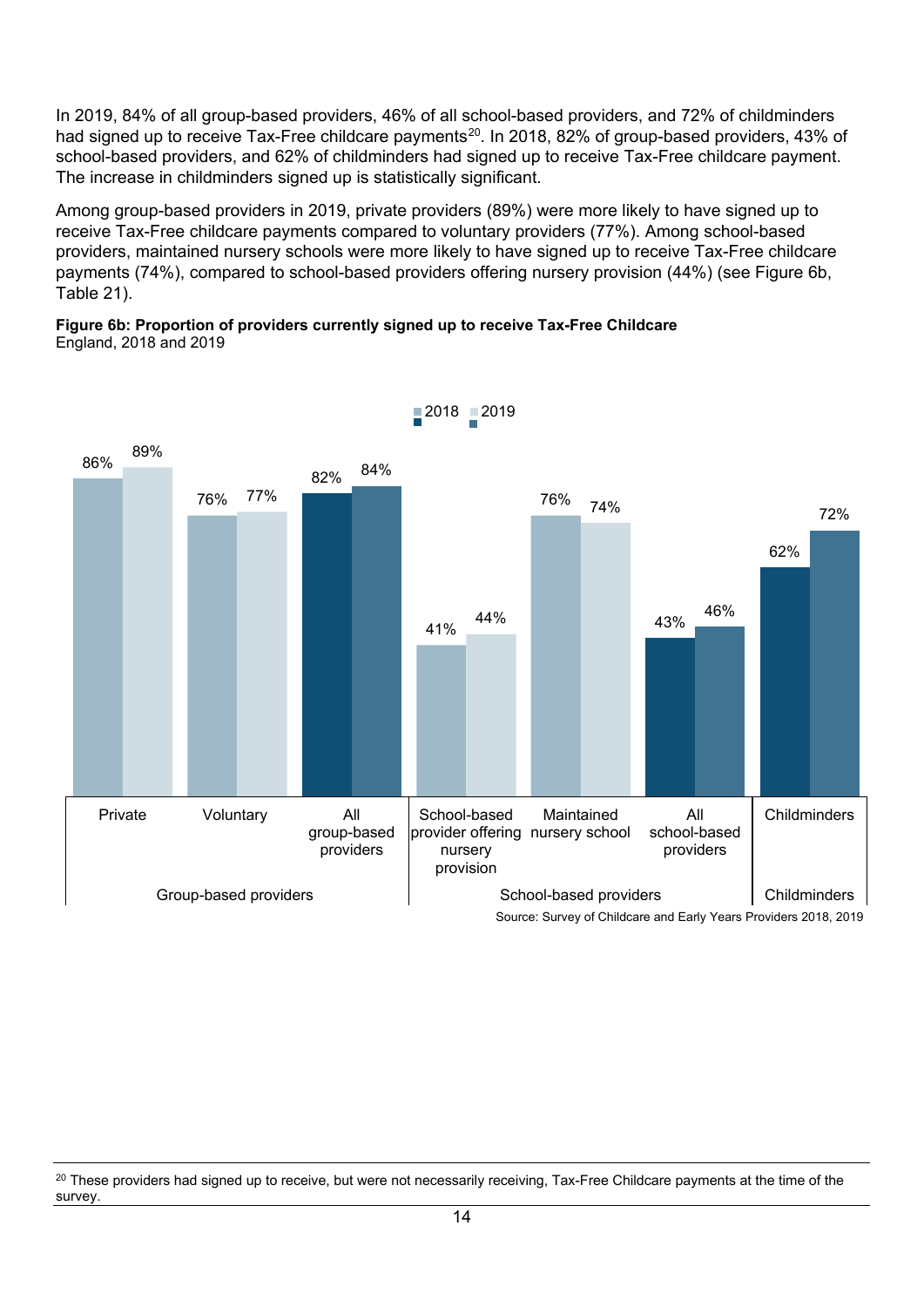In 2019, 84% of all group-based providers, 46% of all school-based providers, and 72% of childminders had signed up to receive Tax-Free childcare payments<sup>20</sup>. In 2018, 82% of group-based providers, 43% of school-based providers, and 62% of childminders had signed up to receive Tax-Free childcare payment. The increase in childminders signed up is statistically significant.

Among group-based providers in 2019, private providers (89%) were more likely to have signed up to receive Tax-Free childcare payments compared to voluntary providers (77%). Among school-based providers, maintained nursery schools were more likely to have signed up to receive Tax-Free childcare payments (74%), compared to school-based providers offering nursery provision (44%) (see Figure 6b, Table 21).

#### **Figure 6b: Proportion of providers currently signed up to receive Tax-Free Childcare** England, 2018 and 2019



 $2018$  2019

<span id="page-13-0"></span><sup>&</sup>lt;sup>20</sup> These providers had signed up to receive, but were not necessarily receiving, Tax-Free Childcare payments at the time of the survey.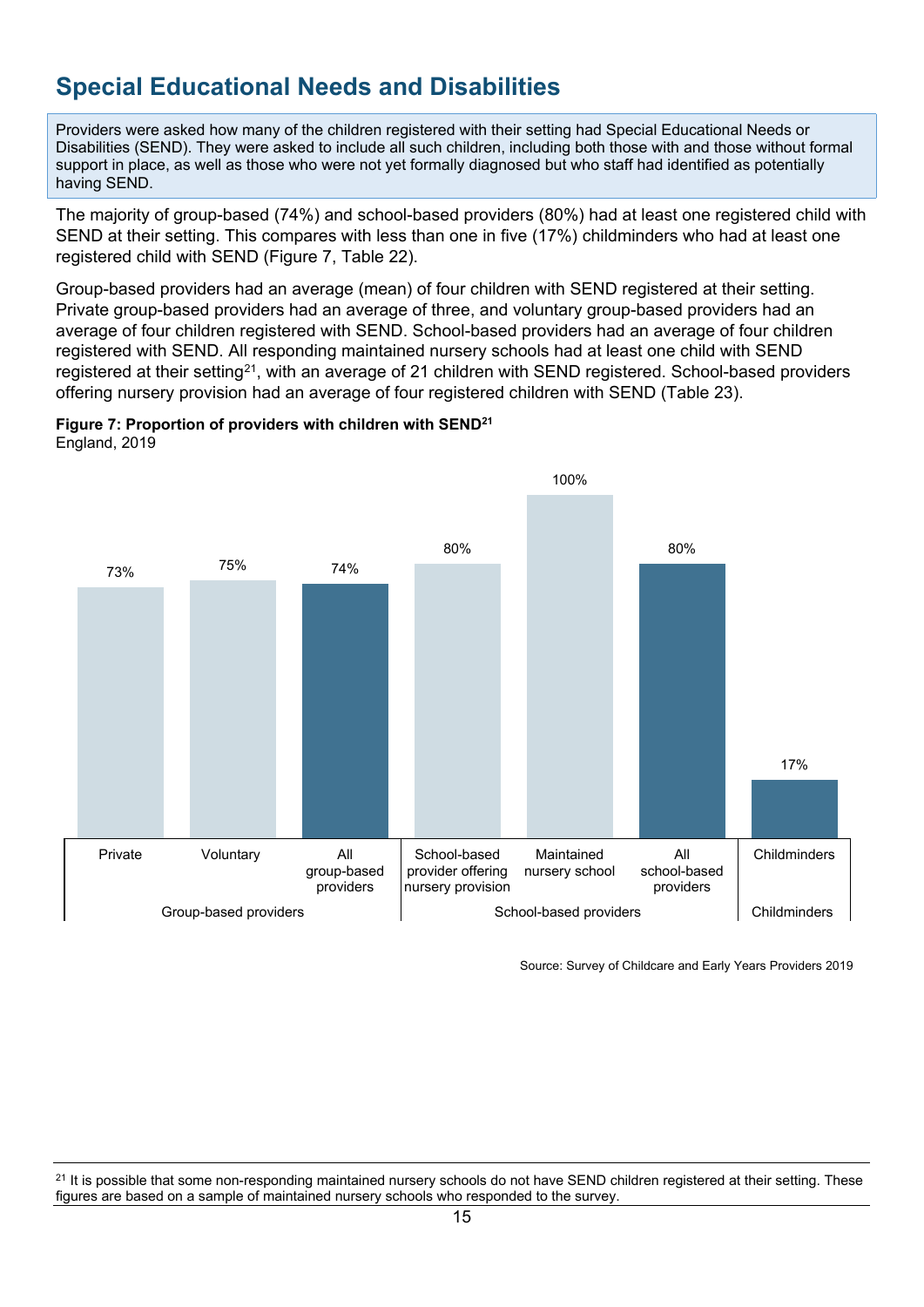# <span id="page-14-0"></span>**Special Educational Needs and Disabilities**

Providers were asked how many of the children registered with their setting had Special Educational Needs or Disabilities (SEND). They were asked to include all such children, including both those with and those without formal support in place, as well as those who were not yet formally diagnosed but who staff had identified as potentially having SEND.

The majority of group-based (74%) and school-based providers (80%) had at least one registered child with SEND at their setting. This compares with less than one in five (17%) childminders who had at least one registered child with SEND (Figure 7, Table 22).

Group-based providers had an average (mean) of four children with SEND registered at their setting. Private group-based providers had an average of three, and voluntary group-based providers had an average of four children registered with SEND. School-based providers had an average of four children registered with SEND. All responding maintained nursery schools had at least one child with SEND registered at their setting[21](#page-14-1), with an average of 21 children with SEND registered. School-based providers offering nursery provision had an average of four registered children with SEND (Table 23).





Source: Survey of Childcare and Early Years Providers 2019

<span id="page-14-1"></span> $21$  It is possible that some non-responding maintained nursery schools do not have SEND children registered at their setting. These figures are based on a sample of maintained nursery schools who responded to the survey.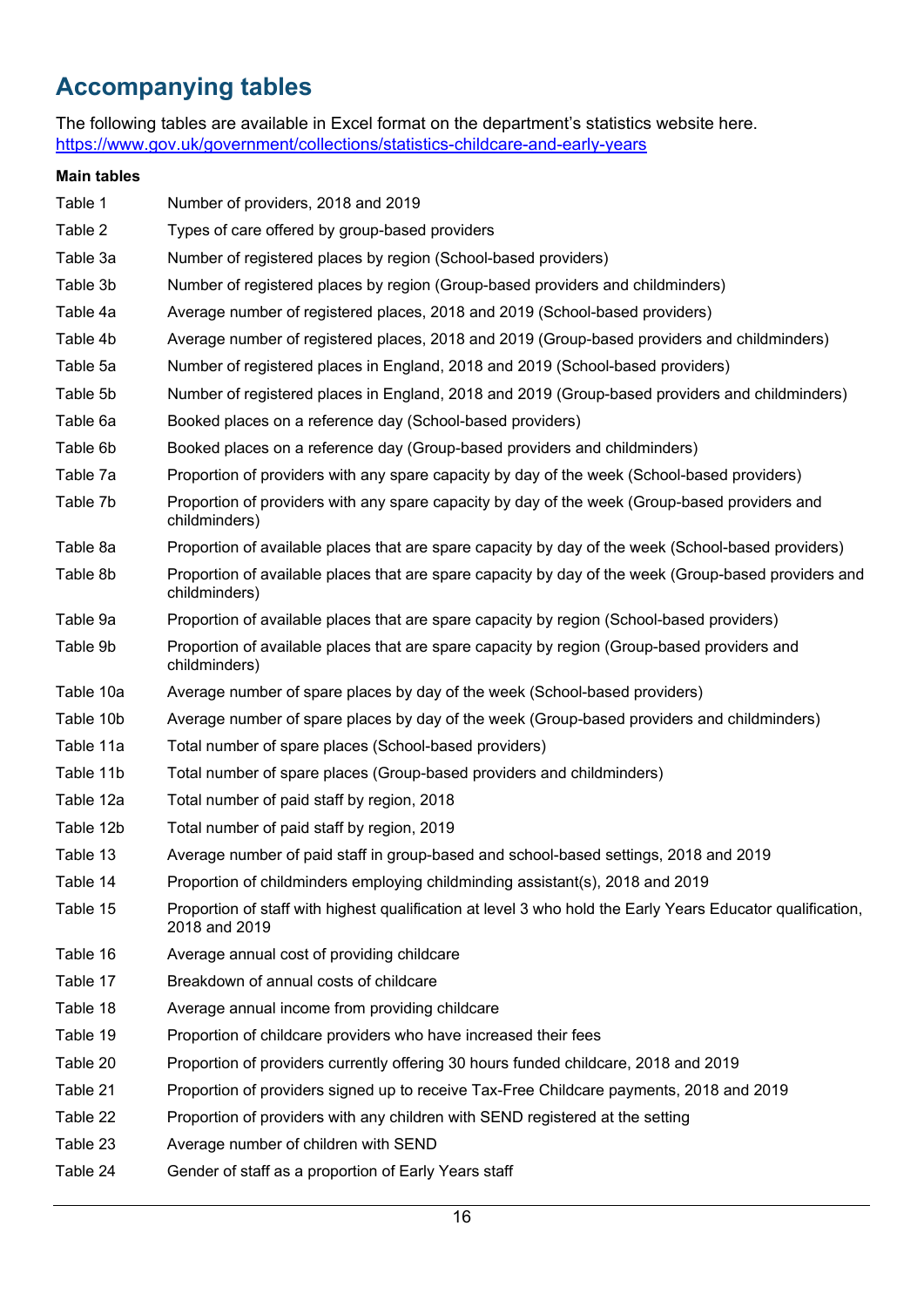# <span id="page-15-0"></span>**Accompanying tables**

The following tables are available in Excel format on the department's statistics website here. <https://www.gov.uk/government/collections/statistics-childcare-and-early-years>

### **Main tables**

| Table 1   | Number of providers, 2018 and 2019                                                                                          |
|-----------|-----------------------------------------------------------------------------------------------------------------------------|
| Table 2   | Types of care offered by group-based providers                                                                              |
| Table 3a  | Number of registered places by region (School-based providers)                                                              |
| Table 3b  | Number of registered places by region (Group-based providers and childminders)                                              |
| Table 4a  | Average number of registered places, 2018 and 2019 (School-based providers)                                                 |
| Table 4b  | Average number of registered places, 2018 and 2019 (Group-based providers and childminders)                                 |
| Table 5a  | Number of registered places in England, 2018 and 2019 (School-based providers)                                              |
| Table 5b  | Number of registered places in England, 2018 and 2019 (Group-based providers and childminders)                              |
| Table 6a  | Booked places on a reference day (School-based providers)                                                                   |
| Table 6b  | Booked places on a reference day (Group-based providers and childminders)                                                   |
| Table 7a  | Proportion of providers with any spare capacity by day of the week (School-based providers)                                 |
| Table 7b  | Proportion of providers with any spare capacity by day of the week (Group-based providers and<br>childminders)              |
| Table 8a  | Proportion of available places that are spare capacity by day of the week (School-based providers)                          |
| Table 8b  | Proportion of available places that are spare capacity by day of the week (Group-based providers and<br>childminders)       |
| Table 9a  | Proportion of available places that are spare capacity by region (School-based providers)                                   |
| Table 9b  | Proportion of available places that are spare capacity by region (Group-based providers and<br>childminders)                |
| Table 10a | Average number of spare places by day of the week (School-based providers)                                                  |
| Table 10b | Average number of spare places by day of the week (Group-based providers and childminders)                                  |
| Table 11a | Total number of spare places (School-based providers)                                                                       |
| Table 11b | Total number of spare places (Group-based providers and childminders)                                                       |
| Table 12a | Total number of paid staff by region, 2018                                                                                  |
| Table 12b | Total number of paid staff by region, 2019                                                                                  |
| Table 13  | Average number of paid staff in group-based and school-based settings, 2018 and 2019                                        |
| Table 14  | Proportion of childminders employing childminding assistant(s), 2018 and 2019                                               |
| Table 15  | Proportion of staff with highest qualification at level 3 who hold the Early Years Educator qualification,<br>2018 and 2019 |
| Table 16  | Average annual cost of providing childcare                                                                                  |
| Table 17  | Breakdown of annual costs of childcare                                                                                      |
| Table 18  | Average annual income from providing childcare                                                                              |
| Table 19  | Proportion of childcare providers who have increased their fees                                                             |
| Table 20  | Proportion of providers currently offering 30 hours funded childcare, 2018 and 2019                                         |
| Table 21  | Proportion of providers signed up to receive Tax-Free Childcare payments, 2018 and 2019                                     |
| Table 22  | Proportion of providers with any children with SEND registered at the setting                                               |
| Table 23  | Average number of children with SEND                                                                                        |
| Table 24  | Gender of staff as a proportion of Early Years staff                                                                        |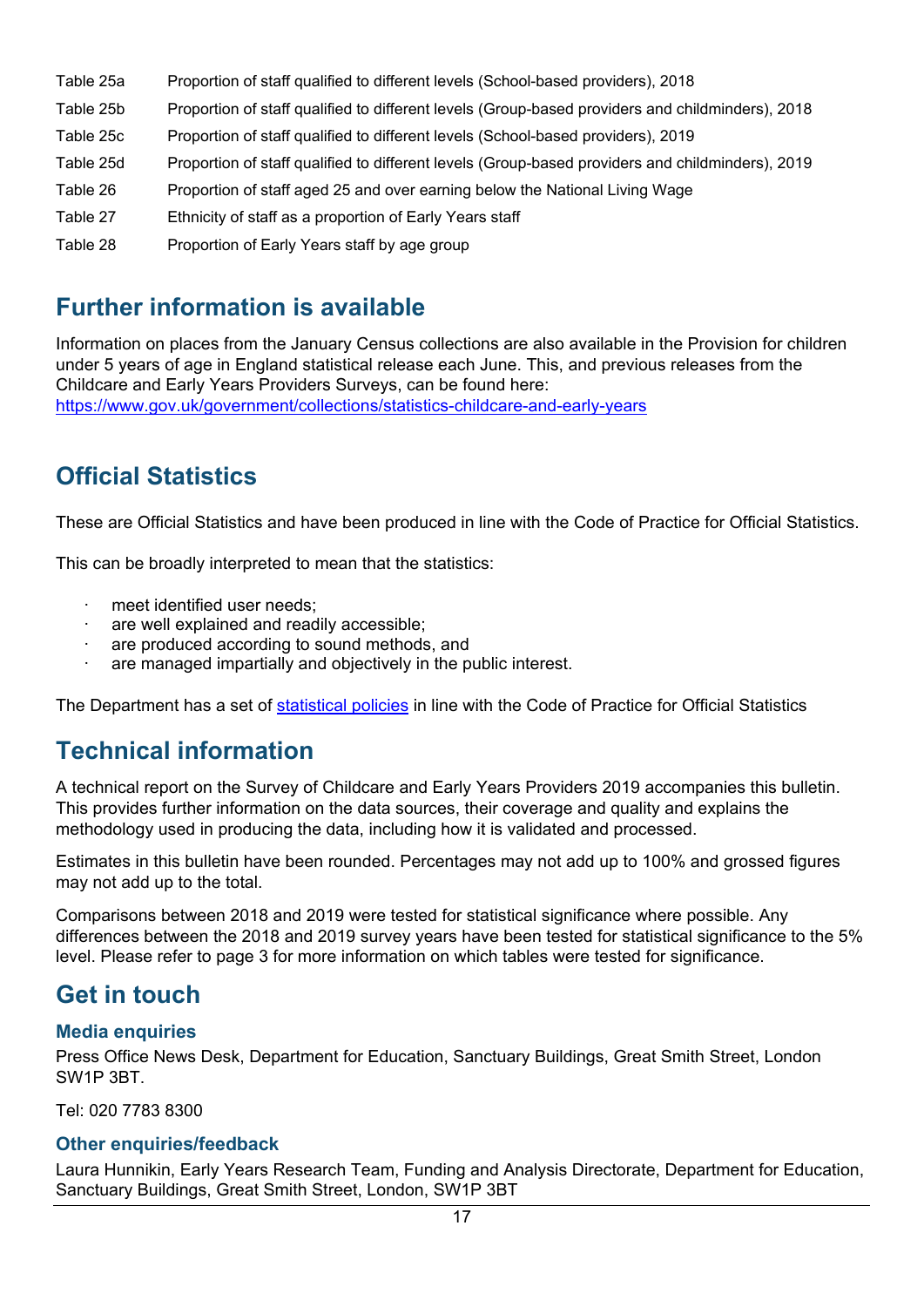- Table 25a Proportion of staff qualified to different levels (School-based providers), 2018 Table 25b Proportion of staff qualified to different levels (Group-based providers and childminders), 2018 Table 25c Proportion of staff qualified to different levels (School-based providers), 2019 Table 25d Proportion of staff qualified to different levels (Group-based providers and childminders), 2019
- Table 26 Proportion of staff aged 25 and over earning below the National Living Wage
- Table 27 Ethnicity of staff as a proportion of Early Years staff
- Table 28 Proportion of Early Years staff by age group

## <span id="page-16-0"></span>**Further information is available**

Information on places from the January Census collections are also available in the Provision for children under 5 years of age in England statistical release each June. This, and previous releases from the Childcare and Early Years Providers Surveys, can be found here: <https://www.gov.uk/government/collections/statistics-childcare-and-early-years>

## <span id="page-16-1"></span>**Official Statistics**

These are Official Statistics and have been produced in line with the Code of Practice for Official Statistics.

This can be broadly interpreted to mean that the statistics:

- meet identified user needs:
- are well explained and readily accessible;
- are produced according to sound methods, and
- are managed impartially and objectively in the public interest.

The Department has a set of [statistical policies](https://www.gov.uk/government/publications/standards-for-official-statistics-published-by-the-department-for-education) in line with the Code of Practice for Official Statistics

## <span id="page-16-2"></span>**Technical information**

A technical report on the Survey of Childcare and Early Years Providers 2019 accompanies this bulletin. This provides further information on the data sources, their coverage and quality and explains the methodology used in producing the data, including how it is validated and processed.

Estimates in this bulletin have been rounded. Percentages may not add up to 100% and grossed figures may not add up to the total.

Comparisons between 2018 and 2019 were tested for statistical significance where possible. Any differences between the 2018 and 2019 survey years have been tested for statistical significance to the 5% level. Please refer to page 3 for more information on which tables were tested for significance.

## <span id="page-16-3"></span>**Get in touch**

### <span id="page-16-4"></span>**Media enquiries**

Press Office News Desk, Department for Education, Sanctuary Buildings, Great Smith Street, London SW1P 3BT.

Tel: 020 7783 8300

### <span id="page-16-5"></span>**Other enquiries/feedback**

Laura Hunnikin, Early Years Research Team, Funding and Analysis Directorate, Department for Education, Sanctuary Buildings, Great Smith Street, London, SW1P 3BT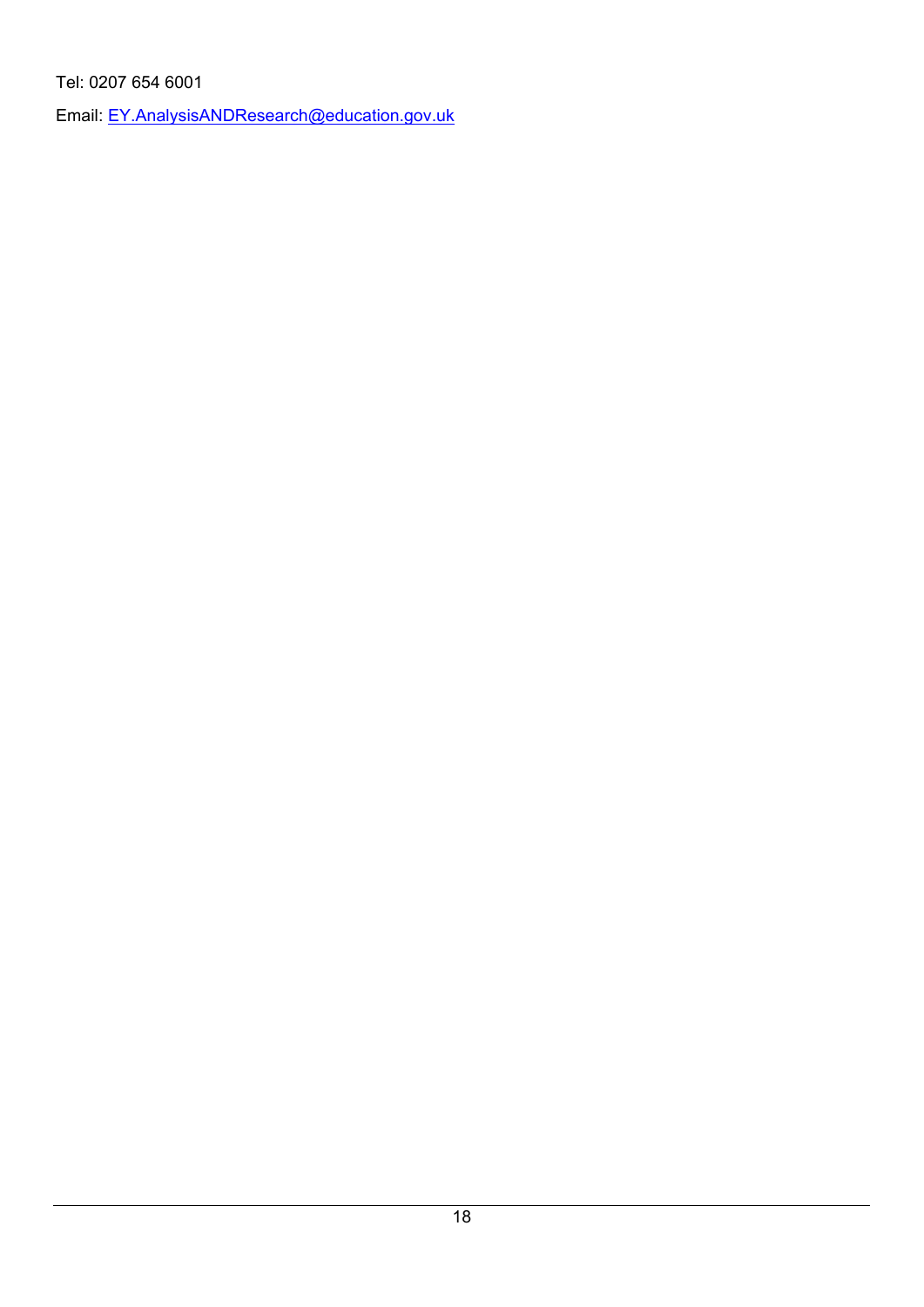Tel: 0207 654 6001

Email: EY.AnalysisANDResearch@education.gov.uk